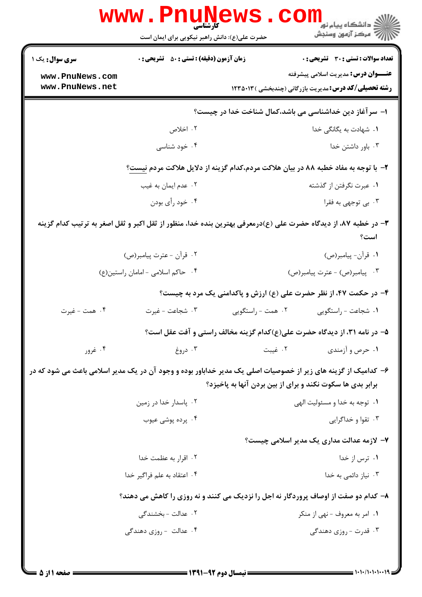|                                                                                    | <b>www.Pnur</b><br><b>کارشناسی</b><br>حضرت علی(ع): دانش راهبر نیکویی برای ایمان است                            |                   | ڪ دانشڪاه پيام نور<br><mark>√</mark> مرڪز آزمون وسنڊش                                                      |  |  |
|------------------------------------------------------------------------------------|----------------------------------------------------------------------------------------------------------------|-------------------|------------------------------------------------------------------------------------------------------------|--|--|
| <b>سری سوال :</b> یک ۱                                                             | <b>زمان آزمون (دقیقه) : تستی : 50 ٪ تشریحی : 0</b>                                                             |                   | <b>تعداد سوالات : تستي : 30 ٪ تشريحي : 0</b>                                                               |  |  |
| www.PnuNews.com<br>www.PnuNews.net                                                 |                                                                                                                |                   | <b>عنـــوان درس:</b> مدیریت اسلامی پیشرفته<br><b>رشته تحصیلی/کد درس:</b> مدیریت بازرگانی (چندبخشی )۱۲۳۵۰۱۳ |  |  |
|                                                                                    | ا– سر آغاز دین خداشناسی می باشد،کمال شناخت خدا در چیست؟                                                        |                   |                                                                                                            |  |  |
|                                                                                    | ۰۲ اخلاص                                                                                                       |                   | ٠١. شهادت به یگانگی خدا                                                                                    |  |  |
|                                                                                    | ۰۴ خود شناسی                                                                                                   |                   | ۰۳ باور داشتن خدا                                                                                          |  |  |
| ۲- با توجه به مفاد خطبه ۸۸ در بیان هلاکت مردم،کدام گزینه از دلایل هلاکت مردم نیست؟ |                                                                                                                |                   |                                                                                                            |  |  |
|                                                                                    | ۰۲ عدم ایمان به غیب                                                                                            |                   | ۰۱ عبرت نگرفتن از گذشته                                                                                    |  |  |
|                                                                                    | ۰۴ خود رأي بودن                                                                                                |                   | ۰۳ بی توجهی به فقرا                                                                                        |  |  |
|                                                                                    | ۳- در خطبه ۸۷، از دیدگاه حضرت علی (ع)درمعرفی بهترین بنده خدا، منظور از ثقل اکبر و ثقل اصغر به ترتیب کدام گزینه |                   | است؟                                                                                                       |  |  |
|                                                                                    | ۰۲ قرأن - عترت پیامبر(ص)                                                                                       |                   | ۰۱ قرأن- پيامبر(ص)                                                                                         |  |  |
|                                                                                    | ۰۴ حاكم اسلامى - امامان راستين(ع)                                                                              |                   | ۰۳ پیامبر(ص) - عترت پیامبر(ص)                                                                              |  |  |
| ۴- در حکمت ۴۷، از نظر حضرت علی (ع) ارزش و پاکدامنی یک مرد به چیست؟                 |                                                                                                                |                   |                                                                                                            |  |  |
| ۰۴ همت - غیرت                                                                      | ۰۳ شجاعت - غيرت                                                                                                | ۰۲ همت - راستگویی | ٠١ شجاعت - راستگويي                                                                                        |  |  |
|                                                                                    |                                                                                                                |                   | ۵– در نامه ۳۱، از دیدگاه حضرت علی(ع)کدام گزینه مخالف راستی و آفت عقل است؟                                  |  |  |
| ۰۴ غرور                                                                            | ۰۳ دروغ                                                                                                        | ۰۲ غیبت           | ۰۱ حرص و آزمندی                                                                                            |  |  |
|                                                                                    | ۶– کدامیک از گزینه های زیر از خصوصیات اصلی یک مدیر خداباور بوده و وجود آن در یک مدیر اسلامی باعث می شود که در  |                   | برابر بدی ها سکوت نکند و برای از بین بردن آنها به پاخیزد؟                                                  |  |  |
|                                                                                    | ۰۲ پاسدار خدا در زمین                                                                                          |                   | ۰۱ توجه به خدا و مسئوليت الهي                                                                              |  |  |
|                                                                                    | ۰۴ پرده پوشی عیوب                                                                                              |                   | ۰۳ تقوا و خداگرایی                                                                                         |  |  |
|                                                                                    |                                                                                                                |                   | ۷- لازمه عدالت مداری یک مدیر اسلامی چیست؟                                                                  |  |  |
|                                                                                    | ۰۲ اقرار به عظمت خدا                                                                                           |                   | ۰۱ ترس از خدا                                                                                              |  |  |
|                                                                                    | ۰۴ اعتقاد به علم فراگیر خدا                                                                                    |                   | ۰۳ نیاز دائمی به خدا                                                                                       |  |  |
|                                                                                    | ۸- کدام دو صفت از اوصاف پروردگار نه اجل را نزدیک می کنند و نه روزی را کاهش می دهند؟                            |                   |                                                                                                            |  |  |
|                                                                                    | ۰۲ عدالت - بخشندگی                                                                                             |                   | ۰۱ امر به معروف - نهى از منكر                                                                              |  |  |
|                                                                                    | ۰۴ عدالت - روزی دهندگی                                                                                         |                   | ۰۳ قدرت - روزی دهندگی                                                                                      |  |  |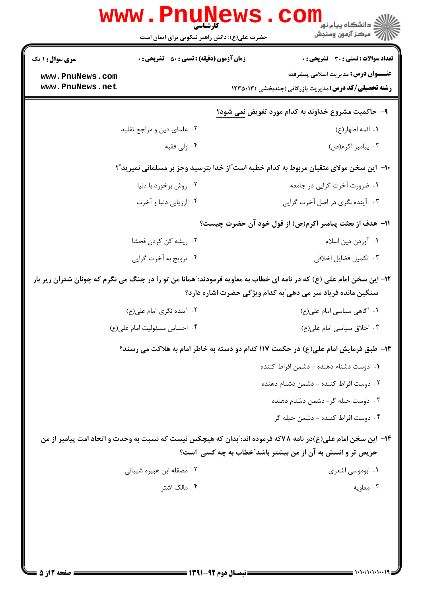| <mark>ڪ</mark> دانشڪاه پيام نور<br>ر آمرڪز آزمون وسنڊش                                                                                                                              | ا<br>کارشناسی<br>حضرت علی(ع): دانش راهبر نیکویی برای ایمان است                                               |                                    |  |  |  |
|-------------------------------------------------------------------------------------------------------------------------------------------------------------------------------------|--------------------------------------------------------------------------------------------------------------|------------------------------------|--|--|--|
| <b>تعداد سوالات : تستی : 30 ٪ تشریحی : 0</b>                                                                                                                                        | <b>زمان آزمون (دقیقه) : تستی : 50 ٪ تشریحی : 0</b>                                                           | سری سوال: ۱ یک                     |  |  |  |
| <b>عنـــوان درس:</b> مدیریت اسلامی پیشرفته<br><b>رشته تحصیلی/کد درس:</b> مدیریت بازرگانی (چندبخشی ) ۱۲۳۵۰۱۳                                                                         |                                                                                                              | www.PnuNews.com<br>www.PnuNews.net |  |  |  |
|                                                                                                                                                                                     | ۹- حاکمیت مشروع خداوند به کدام مورد تفویض نمی شود؟                                                           |                                    |  |  |  |
| ١. ائمه اطهار(ع)                                                                                                                                                                    | ۰۲ علمای دین و مراجع تقلید                                                                                   |                                    |  |  |  |
| ۰۳ پیامبر اکرم(ص)                                                                                                                                                                   | ۰۴ ولی فقیه                                                                                                  |                                    |  |  |  |
|                                                                                                                                                                                     | +١- این سخن مولای متقیان مربوط به کدام خطبه است ّاز خدا بترسید وجز بر مسلمانی نمیرید ؒ؟                      |                                    |  |  |  |
| ۰۱ ضرورت آخرت گرایی در جامعه                                                                                                                                                        | ۰۲ روش برخورد با دنیا                                                                                        |                                    |  |  |  |
| ۰۳ آینده نگری در اصل آخرت گرایی                                                                                                                                                     | ۰۴ ارزیابی دنیا و آخرت                                                                                       |                                    |  |  |  |
| 11- هدف از بعثت پیامبر اکرم(ص) از قول خود آن حضرت چیست؟                                                                                                                             |                                                                                                              |                                    |  |  |  |
| ٠١ آوردن دين اسلام                                                                                                                                                                  | ۰۲ ریشه کن کردن فحشا                                                                                         |                                    |  |  |  |
| ۰۳ تکمیل فضایل اخلاقی                                                                                                                                                               | ۰۴ ترويج به أخرت گرايي                                                                                       |                                    |  |  |  |
| ۱۲– این سخن امام علی (ع) که در نامه ای خطاب به معاویه فرمودند: ّهمانا من تو را در جنگ می نگرم که چونان شتران زیر بار<br>سنگین مانده فریاد سر می دهی ؒبه کدام ویژگی حضرت اشاره دارد؟ |                                                                                                              |                                    |  |  |  |
| ۰۱ آگاهی سیاسی امام علی(ع)                                                                                                                                                          | ۰۲ آینده نگری امام علی(ع)                                                                                    |                                    |  |  |  |
| ۰۳ اخلاق سیاسی امام علی(ع)                                                                                                                                                          | ۰۴ احساس مسئوليت امام على(ع)                                                                                 |                                    |  |  |  |
|                                                                                                                                                                                     | ۱۳- طبق فرمایش امام علی(ع) در حکمت ۱۱۷ کدام دو دسته به خاطر امام به هلاکت می رسند؟                           |                                    |  |  |  |
| ۰۱ دوست دشنام دهنده – دشمن افراط کننده                                                                                                                                              |                                                                                                              |                                    |  |  |  |
| ۰۲ دوست افراط کننده - دشمن دشنام دهنده                                                                                                                                              |                                                                                                              |                                    |  |  |  |
| ۰۳ دوست حیله گر- دشمن دشنام دهنده                                                                                                                                                   |                                                                                                              |                                    |  |  |  |
| ۴. دوست افراط كننده - دشمن حيله گر                                                                                                                                                  |                                                                                                              |                                    |  |  |  |
| حریص تر و انسش به آن از من بیشتر باشد"خطاب به چه کسی است؟                                                                                                                           | ۱۴– این سخن امام علی(ع)در نامه ۷۸که فرموده اند: ّبدان که هیچکس نیست که نسبت به وحدت و اتحاد امت پیامبر از من |                                    |  |  |  |
| ۰۱ ابوموسی اشعری                                                                                                                                                                    | ۰۲ مصقله ابن هبیره شیبانی                                                                                    |                                    |  |  |  |
|                                                                                                                                                                                     |                                                                                                              |                                    |  |  |  |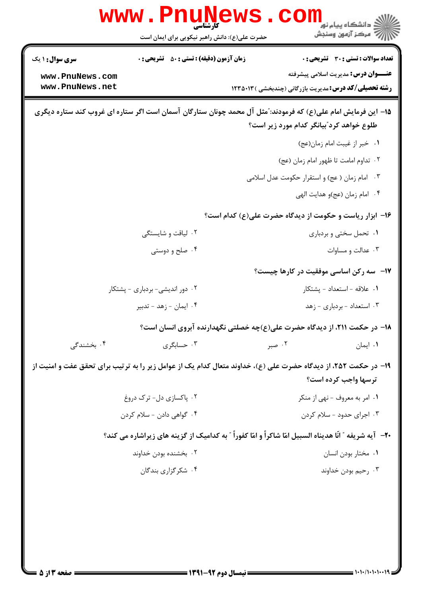|                                                                                                                                                            | WWW.FIIUT<br>حضرت علی(ع): دانش راهبر نیکویی برای ایمان است | ڪ دانشڪاه پيا <sub>م</sub> نور<br>7- مرڪز آزمون وسنڊش                                                                                                      |  |  |
|------------------------------------------------------------------------------------------------------------------------------------------------------------|------------------------------------------------------------|------------------------------------------------------------------------------------------------------------------------------------------------------------|--|--|
| <b>سری سوال :</b> ۱ یک<br>www.PnuNews.com<br>www.PnuNews.net                                                                                               | <b>زمان آزمون (دقیقه) : تستی : 50 ٪ تشریحی : 0</b>         | <b>تعداد سوالات : تستی : 30 ٪ تشریحی : 0</b><br><b>عنـــوان درس:</b> مدیریت اسلامی پیشرفته<br><b>رشته تحصیلی/کد درس:</b> مدیریت بازرگانی (چندبخشی )۱۲۳۵۰۱۳ |  |  |
| 1۵– این فرمایش امام علی(ع) که فرمودند: ّمثل آل محمد چونان ستارگان آسمان است اگر ستاره ای غروب کند ستاره دیگری<br>طلوع خواهد کرد ؒبیانگر کدام مورد زیر است؟ |                                                            |                                                                                                                                                            |  |  |
|                                                                                                                                                            |                                                            | ۰۱ خبر از غیبت امام زمان(عج)                                                                                                                               |  |  |
|                                                                                                                                                            |                                                            | ٠٢ تداوم امامت تا ظهور امام زمان (عج)                                                                                                                      |  |  |
|                                                                                                                                                            |                                                            | ۰۳ امام زمان ( عج) و استقرار حکومت عدل اسلامی                                                                                                              |  |  |
|                                                                                                                                                            |                                                            | ۰۴ امام زمان (عج)و هدايت الهي                                                                                                                              |  |  |
|                                                                                                                                                            |                                                            | ۱۶- ابزار ریاست و حکومت از دیدگاه حضرت علی(ع) کدام است؟                                                                                                    |  |  |
|                                                                                                                                                            | ۰۲ لیاقت و شایستگی                                         | ۰۱ تحمل سختی و بردباری                                                                                                                                     |  |  |
|                                                                                                                                                            | ۰۴ صلح و دوستی                                             | ۰۳ عدالت و مساوات                                                                                                                                          |  |  |
|                                                                                                                                                            |                                                            | <b>۱۷</b> - سه رکن اساسی موفقیت در کارها چیست؟                                                                                                             |  |  |
|                                                                                                                                                            | ۰۲ دور اندیشی- بردباری - پشتکار                            | ۰۱ علاقه - استعداد - پشتکار                                                                                                                                |  |  |
|                                                                                                                                                            | ۰۴ ایمان - زهد - تدبیر                                     | ۰۳ استعداد - بردباری - زهد                                                                                                                                 |  |  |
|                                                                                                                                                            |                                                            | ۱۸– در حکمت ۲۱۱، از دیدگاه حضرت علی(ع)چه خصلتی نگهدارنده آبروی انسان است؟                                                                                  |  |  |
| ۰۴ بخشندگی                                                                                                                                                 | ۰۳ حسابگری                                                 | ۰۱ ایمان<br>۰۲ صبر                                                                                                                                         |  |  |
|                                                                                                                                                            |                                                            | ۱۹– در حکمت ۲۵۲، از دیدگاه حضرت علی (ع)، خداوند متعال کدام یک از عوامل زیر را به ترتیب برای تحقق عفت و امنیت از<br>ترسها واجب کرده است؟                    |  |  |
|                                                                                                                                                            | ۰۲ پاکسازی دل- ترک دروغ                                    | ۰۱ امر به معروف - نهي از منكر                                                                                                                              |  |  |
|                                                                                                                                                            | ۰۴ گواهي دادن - سلام كردن                                  | ۰۳ اجرای حدود - سلام کردن                                                                                                                                  |  |  |
|                                                                                                                                                            |                                                            | +٢- ۖ آيه شريفه ″ انّا هديناه السبيل امّا شاكراً و امّا كفوراً ″ به كداميك از گزينه هاي زيراشاره مي كند؟                                                   |  |  |
|                                                                                                                                                            | ۰۲ بخشنده بودن خداوند                                      | ٠١ مختار بودن انسان                                                                                                                                        |  |  |
|                                                                                                                                                            | ۰۴ شکر گزاری بندگان                                        | ۰۳ رحیم بودن خداوند                                                                                                                                        |  |  |
|                                                                                                                                                            |                                                            |                                                                                                                                                            |  |  |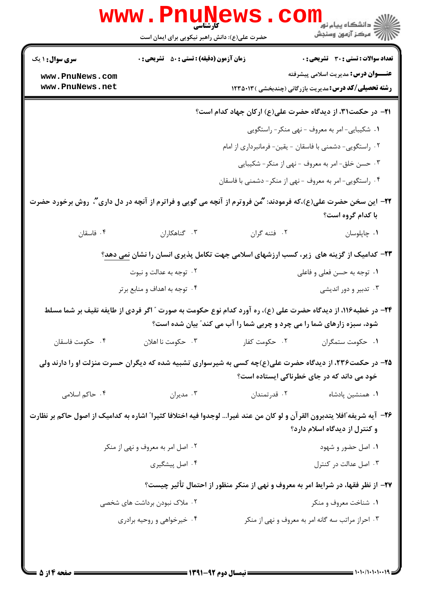| <b>تعداد سوالات : تستی : 30 ٪ تشریحی : 0</b>                                                                                                                                         |                                                          | زمان آزمون (دقیقه) : تستی : 50 ٪ تشریحی : 0                                                            | <b>سری سوال :</b> ۱ یک                                                                                                    |  |  |
|--------------------------------------------------------------------------------------------------------------------------------------------------------------------------------------|----------------------------------------------------------|--------------------------------------------------------------------------------------------------------|---------------------------------------------------------------------------------------------------------------------------|--|--|
| <b>عنـــوان درس:</b> مدیریت اسلامی پیشرفته                                                                                                                                           |                                                          |                                                                                                        | www.PnuNews.com<br>www.PnuNews.net                                                                                        |  |  |
| <b>رشته تحصیلی/کد درس:</b> مدیریت بازرگانی (چندبخشی ) ۱۲۳۵۰۱۳                                                                                                                        |                                                          |                                                                                                        |                                                                                                                           |  |  |
| <b>۲۱</b> - در حکمت۳۱، از دیدگاه حضرت علی(ع) ارکان جهاد کدام است؟                                                                                                                    |                                                          |                                                                                                        |                                                                                                                           |  |  |
|                                                                                                                                                                                      | ١. شكيبايي-امر به معروف - نهي منكر- راستگويي             |                                                                                                        |                                                                                                                           |  |  |
|                                                                                                                                                                                      | ۰۲ راستگویی- دشمنی با فاسقان - یقین- فرمانبرداری از امام |                                                                                                        |                                                                                                                           |  |  |
| ۰۳ حسن خلق-امر به معروف - نهى از منكر- شكيبايي                                                                                                                                       |                                                          |                                                                                                        |                                                                                                                           |  |  |
|                                                                                                                                                                                      | ۰۴ راستگویی- امر به معروف - نهی از منکر- دشمنی با فاسقان |                                                                                                        |                                                                                                                           |  |  |
| با کدام گروه است؟                                                                                                                                                                    |                                                          |                                                                                                        | ۲۲– این سخن حضرت علی(ع)،که فرمودند: ''مُن فروترم از آنچه می گویی و فراترم از آنچه در دل داری''، روش برخورد حضرت           |  |  |
| ٠١ چاپلوسان                                                                                                                                                                          | ٢. فتنه گران                                             | ٠٣ گناهكاران                                                                                           | ۰۴ فاسقان                                                                                                                 |  |  |
|                                                                                                                                                                                      |                                                          | <b>۲۳</b> - کدامیک از گزینه های زیر، کسب ارزشهای اسلامی جهت تکامل پذیری انسان را نشان <u>نمی دهد</u> ؟ |                                                                                                                           |  |  |
| ۰۱ توجه به حسن فعلی و فاعلی                                                                                                                                                          |                                                          | ۰۲ توجه به عدالت و نبوت                                                                                |                                                                                                                           |  |  |
| ۰۳ تدبیر و دور اندیشی                                                                                                                                                                |                                                          | ۰۴ توجه به اهداف و منابع برتر                                                                          |                                                                                                                           |  |  |
| ۲۴– در خطبه۱۱۶، از دیدگاه حضرت علی (ع)، ره آورد کدام نوع حکومت به صورت " اگر فردی از طایفه نقیف بر شما مسلط<br>شود، سبزه زارهای شما را می چرد و چربی شما را آب می کند" بیان شده است؟ |                                                          |                                                                                                        |                                                                                                                           |  |  |
| ٠١ حكومت ستمكران                                                                                                                                                                     | ۰۲ حکومت کفار                                            | ۰۳ حکومت نا اهلان                                                                                      | ۰۴ حکومت فاسقان                                                                                                           |  |  |
| خود می داند که در جای خطرناکی ایستاده است؟                                                                                                                                           |                                                          | ۲۵- در حکمت۲۳۶، از دیدگاه حضرت علی(ع)چه کسی به شیرسواری تشبیه شده که دیگران حسرت منزلت او را دارند ولی |                                                                                                                           |  |  |
| ۰۱ همنشین پادشاه                                                                                                                                                                     | ۰۲ قدرتمندان                                             | ۰۳ مديران                                                                                              | ۰۴ حاكم اسلامى                                                                                                            |  |  |
| و کنترل از دیدگاه اسلام دارد؟                                                                                                                                                        |                                                          |                                                                                                        | ۲۶– آیه شریفه ّافلا یتدبرون القرآن و لو کان من عند غیرا… لوجدوا فیه اختلافا کثیرا ّ اشاره به کدامیک از اصول حاکم بر نظارت |  |  |
| ۰۱ اصل حضور و شهود                                                                                                                                                                   |                                                          | ۰۲ اصل امر به معروف و نهی از منکر                                                                      |                                                                                                                           |  |  |
| ۰۳ اصل عدالت در کنترل                                                                                                                                                                |                                                          | ۰۴ اصل پیشگیری                                                                                         |                                                                                                                           |  |  |
| ۲۷- از نظر فقها، در شرایط امر به معروف و نهی از منکر منظور از احتمال تأثیر چیست؟                                                                                                     |                                                          |                                                                                                        |                                                                                                                           |  |  |
| ۰۱ شناخت معروف و منکر                                                                                                                                                                |                                                          | ۲ . ملاک نبودن برداشت های شخصی                                                                         |                                                                                                                           |  |  |
|                                                                                                                                                                                      | ۰۳ احراز مراتب سه گانه امر به معروف و نهی از منکر        | ۰۴ خیرخواهی و روحیه برادری                                                                             |                                                                                                                           |  |  |